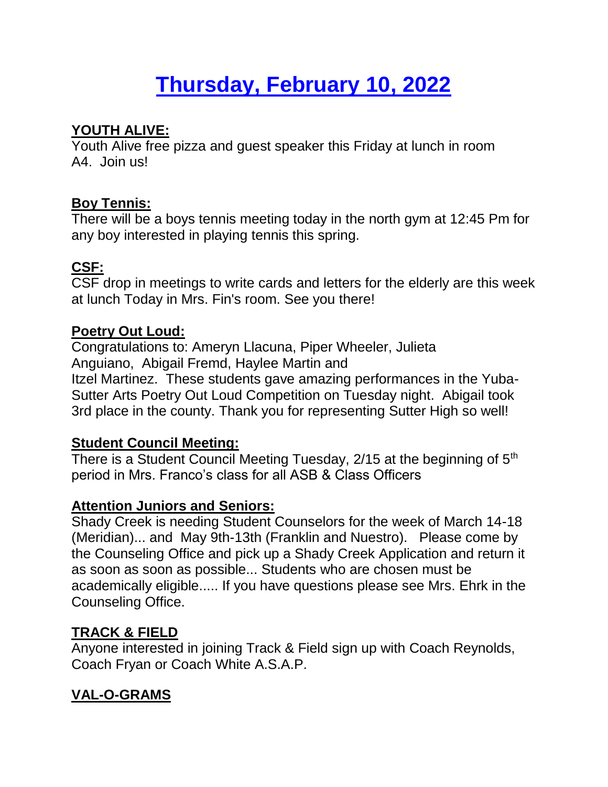# **Thursday, February 10, 2022**

# **YOUTH ALIVE:**

Youth Alive free pizza and guest speaker this Friday at lunch in room A4. Join us!

#### **Boy Tennis:**

There will be a boys tennis meeting today in the north gym at 12:45 Pm for any boy interested in playing tennis this spring.

# **CSF:**

CSF drop in meetings to write cards and letters for the elderly are this week at lunch Today in Mrs. Fin's room. See you there!

#### **Poetry Out Loud:**

Congratulations to: Ameryn Llacuna, Piper Wheeler, Julieta Anguiano, Abigail Fremd, Haylee Martin and Itzel Martinez. These students gave amazing performances in the Yuba-Sutter Arts Poetry Out Loud Competition on Tuesday night. Abigail took 3rd place in the county. Thank you for representing Sutter High so well!

#### **Student Council Meeting:**

There is a Student Council Meeting Tuesday, 2/15 at the beginning of 5<sup>th</sup> period in Mrs. Franco's class for all ASB & Class Officers

#### **Attention Juniors and Seniors:**

Shady Creek is needing Student Counselors for the week of March 14-18 (Meridian)... and May 9th-13th (Franklin and Nuestro). Please come by the Counseling Office and pick up a Shady Creek Application and return it as soon as soon as possible... Students who are chosen must be academically eligible..... If you have questions please see Mrs. Ehrk in the Counseling Office.

# **TRACK & FIELD**

Anyone interested in joining Track & Field sign up with Coach Reynolds, Coach Fryan or Coach White A.S.A.P.

# **VAL-O-GRAMS**